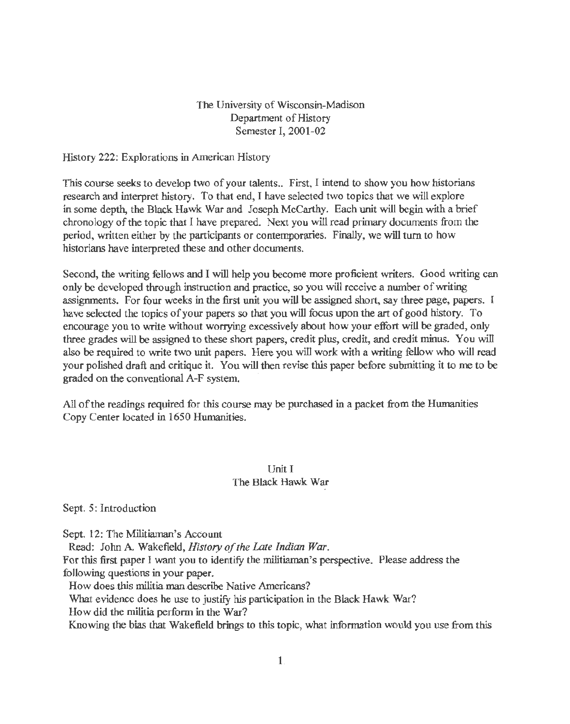# The University of Wisconsin-Madison Department of History Semester I, 2001-02

History 222: Explorations in American History

This course seeks to develop two of your talents.. First, I intend to show you how historians research and interpret history. To that end, I have selected two topics that we will explore in some depth, the Black Hawk War and Joseph McCarthy. Each unit will begin with a brief chronology of the topic that I have prepared. Next you will read primary documents from the period, written either by the participants or contemporaries. Finally, we will turn to how historians have interpreted these and other documents.

Second, the writing fellows and I will help you become more proficient writers. Good writing can only be developed through instruction and practice, so you will receive a number of writing assignments. For four weeks in the first *unit* you will be assigned short, say three page, papers. I have selected the topics of your papers so that you will focus upon the art of good history. To encourage you to write without worrying excessively about how your effort will be graded, only three grades will be assigned to these short papers, credit plus, credit, and credit minus. You will also be required to write two *unit* papers. Here you will work with a writing fellow who will read your polished draft and critique it. You will then revise this paper before submitting it to me to be graded on the conventional A-F system.

All of the readings required for this course may be purchased in a packet from the Humanities Copy Center located in 1650 Humanities.

# Unit I The Black Hawk War

Sept. 5: Introduction

Sept. 12: The Militiaman's Account

Read: John A. Wakefield, *History of the Late Indian War.* 

For this first paper I want you to identify the militiaman's perspective. Please address the following questions in your paper.

How does this militia. man describe Native Americans?

What evidence does he use to justify his participation in the Black Hawk War?

How did the militia perform in the War?

Knowing the bias that Wakefield brings to this topic, what information would you use from this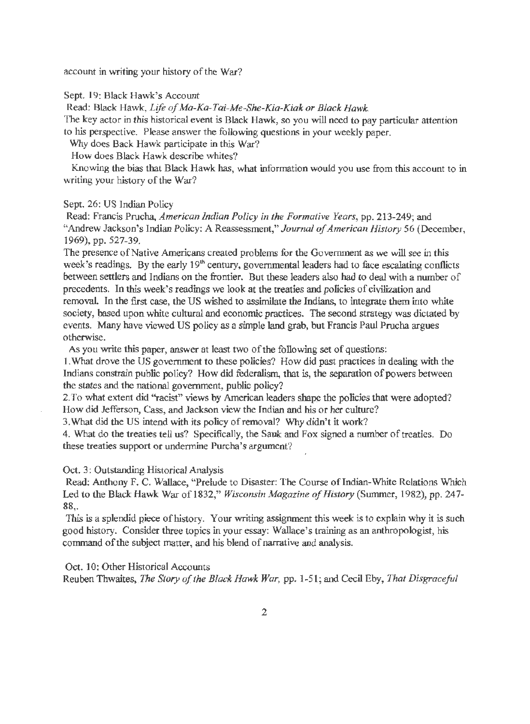account in writing your history of the War?

Sept. 19: Black Hawk's Account

Read: Black Hawk, *Life of Ma-Ka-Tai-Me-She-Kia-Kiak or Black Hawk.* 

The key actor in this historical event is Black Hawk, so you will need to pay particular attention to his perspective. Please answer the following questions in your weekly paper.

Why does Back Hawk participate in this War?

How does Black Hawk describe whites?

Knowing the bias that Black Hawk bas, what information would you use from this account to in writing your history of the War?

## Sept. 26: US Indian Policy

Read: Francis Prucha, *American Indian Policy in the Formative Years,* pp. 213-249; and "Andrew Jackson's Indian Policy: A Reassessment," *Journal of American History* 56 (December, 1969), pp. 527-39.

The presence of Native Americans created problems for the Government as we will see in this week's readings. By the early  $19<sup>th</sup>$  century, governmental leaders had to face escalating conflicts between settlers and Indians on the frontier. But these leaders also bad to deal with a number of precedents. In this week's readings we look at the treaties and policies of civilization and removal. In the first case, the US wished to assimilate the Indians, to integrate them into white society, based upon white cultural and economic practices. The second strategy was dictated by events. Many have viewed US policy as a simple land grab, but Francis Paul Prucha argues otherwise.

As you write this paper, answer at least two of the following set of questions:

1. What drove the US government to these policies? How did past practices in dealing with the Indians constrain public policy? How did federalism, that is, the separation of powers between the states and the national government, public policy?

2. To what extent did "racist" views by American leaders shape the policies that were adopted? How did Jefferson, Cass, and Jackson view the Indian and his or her culture?

3.What did the US intend with its policy of removal? Why didn't it work?

4. What do the treaties tell us? Specifically, the Sauk and Fox signed a number of treaties. Do these treaties support or undermine Purcha's argument?

Oct. 3: Outstanding Historical Analysis

Read: Anthony F. C. Wallace, "Prelude to Disaster: The Course of Indian-White Relations Which Led to the Black Hawk War of 1832," *Wisconsin Magazine of History* (Summer, 1982), pp. 247-88,.

This is a splendid piece of history. Your writing assignment this week is to explain why it is such good history. Consider three topics in your essay: Wallace's training as an anthropologist, his command of the subject matter, and his blend of narrative and analysis.

Oct. 10: Other Historical Accounts

Reuben Thwaites, *The Story of the Black Hawk War,* pp. 1-51; and Cecil Eby, *That Disgraceful*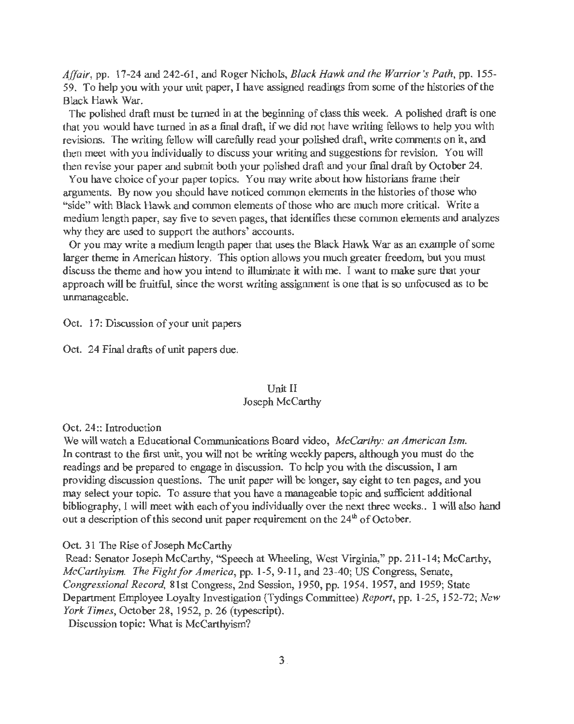*Affair,* pp. 17-24 and 242-61, and Roger Nichols, *Black Hawk and the Warrior's Path,* pp. 155- 59. To help you with your unit paper, I have assigned readings from some of the histories of the Black Hawk War.

The polished draft must be turned in at the beginning of class this week. A polished draft is one that you would have turned in as a final draft, if we did not have writing fellows to help you with revisions. The writing fellow will carefully read your polished draft, write comments on it, and then meet with you individually to discuss your writing and suggestions for revision. You will then revise your paper and submit both your polished draft and your final draft by October 24.

You have choice of your paper topics. You may write about how historians frame their arguments. By now you should have noticed common elements in the histories of those who "side" with Black Hawk and common elements of those who are much more critical. Write a medium length paper, say five to seven pages, that identifies these common elements and analyzes why they are used to support the authors' accounts.

Or you may write a medium length paper that uses the Black Hawk War as an example of some larger theme in American history. This option allows you much greater freedom, but you must discuss the theme and how you intend to illuminate it with me. I want to make sure that your approach will be fruitful, since the worst writing assignment is one that is so unfocused as to be unmanageable.

Oct. 17: Discussion of your unit papers

Oct. 24 Final drafts of unit papers due.

## Unit II Joseph McCarthy

Oct. 24:: Introduction

We will watch a Educational Communications Board video, *McCarthy: an American Ism.*  In contrast to the first unit, you will not be writing weekly papers, although you must do the readings and be prepared to engage in discussion. To help you with the discussion, I am providing discussion questions. The unit paper will be longer, say eight to ten pages, and you may select your topic. To assure that you have a manageable topic and sufficient additional bibliography, I will meet with each of you individually over the next three weeks .. I will also hand out a description of this second unit paper requirement on the  $24<sup>th</sup>$  of October.

### Oct. 31 The Rise of Joseph McCarthy

Read: Senator Joseph McCarthy, "Speech at Wheeling, West Virginia," pp. 211-14; McCarthy, *McCarthyism. The Fight for America,* pp. 1-5, 9-11, and 23-40; US Congress, Senate, *Congressional Record,* 81st Congress, 2nd Session, 1950, pp. 1954. 1957, and 1959; State Department Employee Loyalty Investigation (Tydings Committee) *Report,* pp. 1-25, 152-72; *New York Times,* October 28, 1952, p. 26 (typescript).

Discussion topic: What is McCarthyism?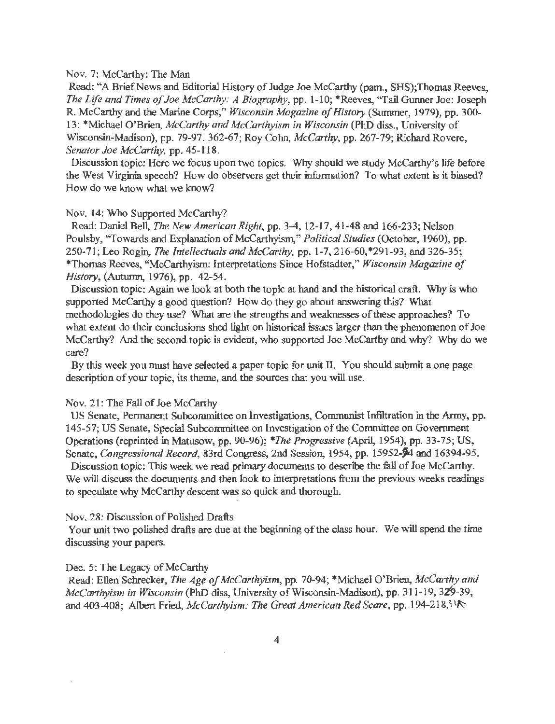#### Nov. 7: McCarthy: The Man

Read: "A Brief News and Editorial History of Judge Joe McCarthy (pam., SHS); Thomas Reeves, *The Life and Times of Joe McCarthy: A Biography*, pp. 1-10; \*Reeves, "Tail Gunner Joe: Joseph R. McCarthy and the Marine Corps," *Wisconsin Magazine of History* (Summer, 1979), pp. 300- 13: \*Michael O'Brien, *McCarthy and McCarthyism in Wisconsin* (PhD diss., University of Wisconsin-Madison), pp. 79-97. 362-67; Roy Cohn, *McCarthy,* pp. 267-79; Richard Rovere, *Senator Joe McCarthy,* pp. 45-118.

Discussion topic: Here we focus upon two topics. Why should we study McCarthy's life before the West Virginia speech? How do observers get their information? To what extent is it biased? How do we know what we know?

#### Nov. 14: Who Supported McCarthy?

Read: Daniel Bell, *The New American Right,* pp. 3-4, 12-17,41-48 and 166-233; Nelson Poulsby, "Towards and Explanation of McCarthyism," *Political Studies* (October, 1960), pp. 250-71; Leo Rogin, *The Intellectuals and McCarthy,* pp. 1-7, 216-60,\*291-93, and 326-35; \*Thomas Reeves, "McCarthyism: Interpretations Since Hofstadter," *Wisconsin Magazine of History,* (Autumn, 1976), pp. 42-54.

Discussion topic: Again we look at both the topic at hand and the historical craft. Why is who supported McCarthy a good question? How do they go about answering this? What methodologies do they use? What are the strengths and weaknesses of these approaches? To what extent do their conclusions shed light on historical issues larger than the phenomenon of Joe McCarthy? And the second topic is evident, who supported Joe McCarthy and why? Why do we care?

By this week you must have selected a paper topic for unit II. You should submit a one page description of your topic, its theme, and the sources that you will use.

#### Nov. 21: The Fall of Joe McCarthy

US Senate, Permanent Subcommittee on Investigations, Communist Infiltration in the Army, pp. 145-57; US Senate, Special Subcommittee on Investigation of the Committee on Government Operations (reprinted in Matusow, pp. 90-96); *\*The Progressive* (April, 1954), pp. 33-75; US, Senate, *Congressional Record*, 83rd Congress, 2nd Session, 1954, pp. 15952-54 and 16394-95.

Discussion topic: This week we read primary documents to describe the full of Joe McCarthy. We will discuss the documents and then look to interpretations from the previous weeks readings to speculate why McCarthy descent was so quick and thorough.

#### Nov. 28: Discussion of Polished Drafts

Your unit two polished drafts are due at the beginning of the class hour. We will spend the time discussing your papers.

#### Dec. 5: The Legacy of McCarthy

Read: Ellen Schrecker, *The Age of McCarthyism,* pp. 70-94; \*Michael O'Brien, *McCarthy and McCarthyism in Wisconsin* (PhD diss, University of Wisconsin-Madison), pp. 311-19, 329-39, and 403-408; Albert Fried, *McCarthyism: The Great American Red Scare*, pp. 194-218.31<sup>}</sup>